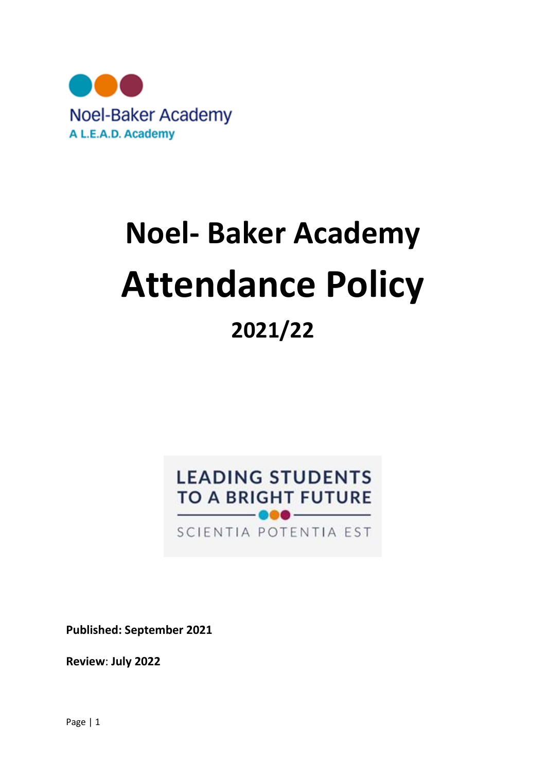

# **Noel- Baker Academy Attendance Policy 2021/22**

# **LEADING STUDENTS TO A BRIGHT FUTURE**

SCIENTIA POTENTIA EST

**Published: September 2021**

**Review**: **July 2022**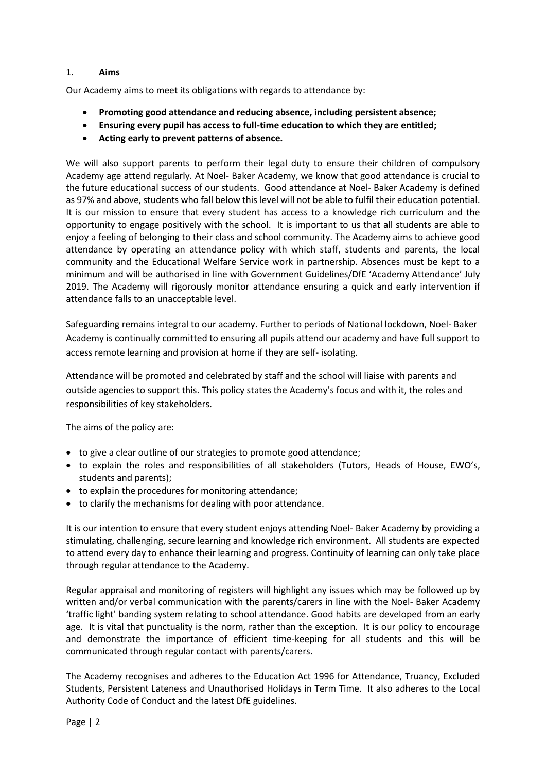# 1. **Aims**

Our Academy aims to meet its obligations with regards to attendance by:

- **Promoting good attendance and reducing absence, including persistent absence;**
- **Ensuring every pupil has access to full-time education to which they are entitled;**
- **Acting early to prevent patterns of absence.**

We will also support parents to perform their legal duty to ensure their children of compulsory Academy age attend regularly. At Noel- Baker Academy, we know that good attendance is crucial to the future educational success of our students. Good attendance at Noel- Baker Academy is defined as 97% and above, students who fall below this level will not be able to fulfil their education potential. It is our mission to ensure that every student has access to a knowledge rich curriculum and the opportunity to engage positively with the school. It is important to us that all students are able to enjoy a feeling of belonging to their class and school community. The Academy aims to achieve good attendance by operating an attendance policy with which staff, students and parents, the local community and the Educational Welfare Service work in partnership. Absences must be kept to a minimum and will be authorised in line with Government Guidelines/DfE 'Academy Attendance' July 2019. The Academy will rigorously monitor attendance ensuring a quick and early intervention if attendance falls to an unacceptable level.

Safeguarding remains integral to our academy. Further to periods of National lockdown, Noel- Baker Academy is continually committed to ensuring all pupils attend our academy and have full support to access remote learning and provision at home if they are self- isolating.

Attendance will be promoted and celebrated by staff and the school will liaise with parents and outside agencies to support this. This policy states the Academy's focus and with it, the roles and responsibilities of key stakeholders.

The aims of the policy are:

- to give a clear outline of our strategies to promote good attendance;
- to explain the roles and responsibilities of all stakeholders (Tutors, Heads of House, EWO's, students and parents);
- to explain the procedures for monitoring attendance;
- to clarify the mechanisms for dealing with poor attendance.

It is our intention to ensure that every student enjoys attending Noel- Baker Academy by providing a stimulating, challenging, secure learning and knowledge rich environment. All students are expected to attend every day to enhance their learning and progress. Continuity of learning can only take place through regular attendance to the Academy.

Regular appraisal and monitoring of registers will highlight any issues which may be followed up by written and/or verbal communication with the parents/carers in line with the Noel- Baker Academy 'traffic light' banding system relating to school attendance. Good habits are developed from an early age. It is vital that punctuality is the norm, rather than the exception. It is our policy to encourage and demonstrate the importance of efficient time-keeping for all students and this will be communicated through regular contact with parents/carers.

The Academy recognises and adheres to the Education Act 1996 for Attendance, Truancy, Excluded Students, Persistent Lateness and Unauthorised Holidays in Term Time. It also adheres to the Local Authority Code of Conduct and the latest DfE guidelines.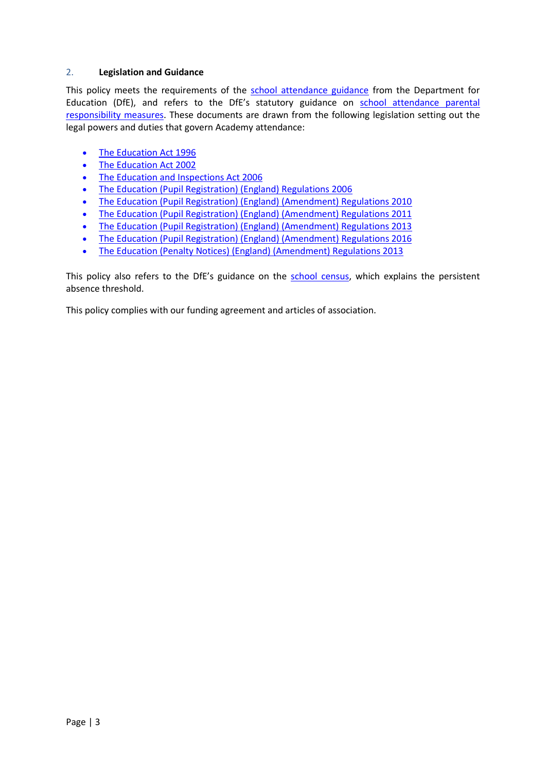# 2. **Legislation and Guidance**

This policy meets the requirements of the [school attendance guidance](https://www.gov.uk/government/publications/school-attendance) from the Department for Education (DfE), and refers to the DfE's statutory guidance on school attendance parental [responsibility measures.](https://www.gov.uk/government/publications/parental-responsibility-measures-for-behaviour-and-attendance) These documents are drawn from the following legislation setting out the legal powers and duties that govern Academy attendance:

- [The Education Act 1996](https://www.legislation.gov.uk/ukpga/1996/56/part/VI/chapter/II)
- [The Education Act 2002](http://www.legislation.gov.uk/ukpga/2002/32/part/3/chapter/3)
- [The Education and Inspections Act 2006](http://www.legislation.gov.uk/ukpga/2006/40/part/7/chapter/2/crossheading/school-attendance)
- [The Education \(Pupil Registration\) \(England\) Regulations 2006](http://www.legislation.gov.uk/uksi/2006/1751/contents/made)
- [The Education \(Pupil Registration\) \(England\) \(Amendment\) Regulations 2010](http://www.centralbedfordshire.gov.uk/Images/amendment-regulation-2010_tcm3-8642.pdf)
- [The Education \(Pupil Registration\) \(England\) \(Amendment\) Regulations 2011](http://www.legislation.gov.uk/uksi/2011/1625/made)
- [The Education \(Pupil Registration\) \(England\) \(Amendment\) Regulations 2013](http://www.legislation.gov.uk/uksi/2013/756/made)
- [The Education \(Pupil Registration\) \(England\) \(Amendment\) Regulations 2016](http://legislation.data.gov.uk/uksi/2016/792/made/data.html)
- [The Education \(Penalty Notices\) \(England\) \(Amendment\) Regulations 2013](http://www.legislation.gov.uk/uksi/2013/756/pdfs/uksiem_20130756_en.pdf)

This policy also refers to the DfE's guidance on the [school census,](https://www.gov.uk/government/publications/school-census-2017-to-2018-guide-for-schools-and-las) which explains the persistent absence threshold.

This policy complies with our funding agreement and articles of association.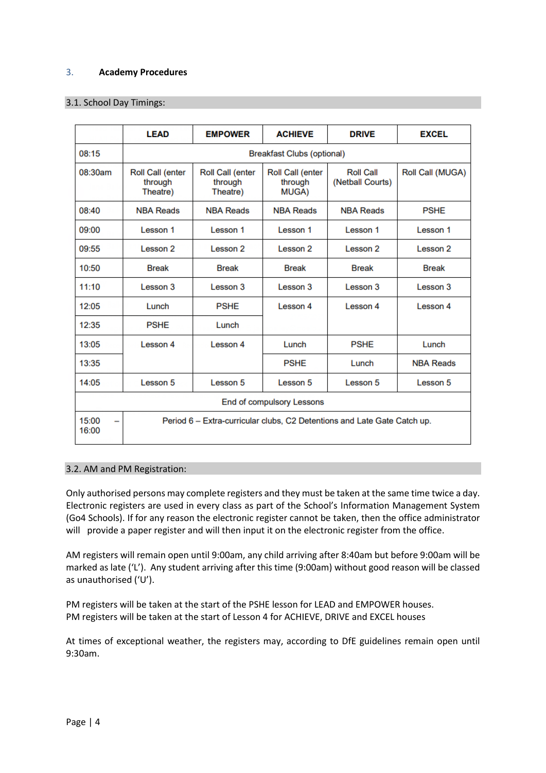# 3. **Academy Procedures**

# 3.1. School Day Timings:

|                                  | <b>LEAD</b>                                                              | <b>EMPOWER</b>                                 | <b>ACHIEVE</b>                              | <b>DRIVE</b>                         | <b>EXCEL</b>     |
|----------------------------------|--------------------------------------------------------------------------|------------------------------------------------|---------------------------------------------|--------------------------------------|------------------|
| 08:15                            | <b>Breakfast Clubs (optional)</b>                                        |                                                |                                             |                                      |                  |
| 08:30am                          | Roll Call (enter<br>through<br>Theatre)                                  | <b>Roll Call (enter</b><br>through<br>Theatre) | <b>Roll Call (enter</b><br>through<br>MUGA) | <b>Roll Call</b><br>(Netball Courts) | Roll Call (MUGA) |
| 08:40                            | <b>NBA Reads</b>                                                         | <b>NBA Reads</b>                               | <b>NBA Reads</b>                            | <b>NBA Reads</b>                     | <b>PSHE</b>      |
| 09:00                            | Lesson 1                                                                 | Lesson 1                                       | Lesson 1                                    | Lesson 1                             | Lesson 1         |
| 09:55                            | Lesson 2                                                                 | Lesson 2                                       | Lesson 2                                    | Lesson 2                             | Lesson 2         |
| 10:50                            | <b>Break</b>                                                             | <b>Break</b>                                   | <b>Break</b>                                | <b>Break</b>                         | <b>Break</b>     |
| 11:10                            | Lesson 3                                                                 | Lesson 3                                       | Lesson 3                                    | Lesson 3                             | Lesson 3         |
| 12:05                            | Lunch                                                                    | <b>PSHE</b>                                    | Lesson 4                                    | Lesson 4                             | Lesson 4         |
| 12:35                            | <b>PSHE</b>                                                              | Lunch                                          |                                             |                                      |                  |
| 13:05                            | Lesson 4                                                                 | Lesson 4                                       | Lunch                                       | <b>PSHE</b>                          | Lunch            |
| 13:35                            |                                                                          |                                                | <b>PSHE</b>                                 | Lunch                                | <b>NBA Reads</b> |
| 14:05                            | Lesson 5                                                                 | Lesson 5                                       | Lesson 5                                    | Lesson 5                             | Lesson 5         |
| <b>End of compulsory Lessons</b> |                                                                          |                                                |                                             |                                      |                  |
| 15:00<br>-<br>16:00              | Period 6 – Extra-curricular clubs, C2 Detentions and Late Gate Catch up. |                                                |                                             |                                      |                  |

# 3.2. AM and PM Registration:

Only authorised persons may complete registers and they must be taken at the same time twice a day. Electronic registers are used in every class as part of the School's Information Management System (Go4 Schools). If for any reason the electronic register cannot be taken, then the office administrator will provide a paper register and will then input it on the electronic register from the office.

AM registers will remain open until 9:00am, any child arriving after 8:40am but before 9:00am will be marked as late ('L'). Any student arriving after this time (9:00am) without good reason will be classed as unauthorised ('U').

PM registers will be taken at the start of the PSHE lesson for LEAD and EMPOWER houses. PM registers will be taken at the start of Lesson 4 for ACHIEVE, DRIVE and EXCEL houses

At times of exceptional weather, the registers may, according to DfE guidelines remain open until 9:30am.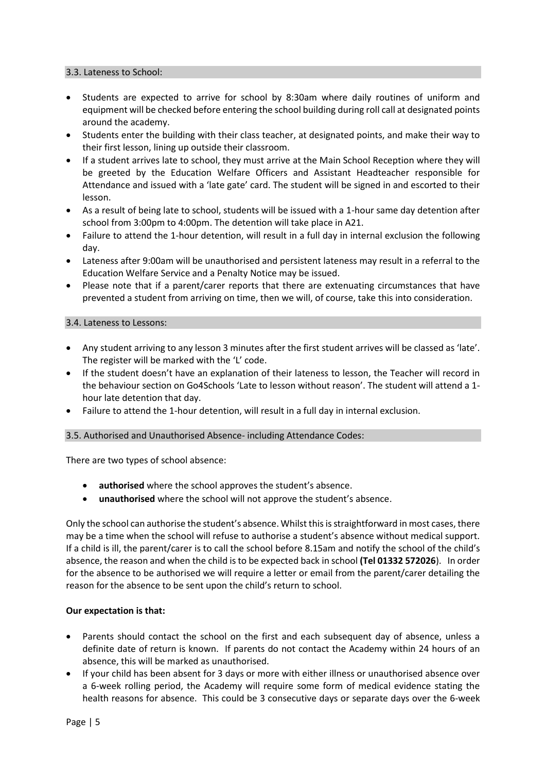#### 3.3. Lateness to School:

- Students are expected to arrive for school by 8:30am where daily routines of uniform and equipment will be checked before entering the school building during roll call at designated points around the academy.
- Students enter the building with their class teacher, at designated points, and make their way to their first lesson, lining up outside their classroom.
- If a student arrives late to school, they must arrive at the Main School Reception where they will be greeted by the Education Welfare Officers and Assistant Headteacher responsible for Attendance and issued with a 'late gate' card. The student will be signed in and escorted to their lesson.
- As a result of being late to school, students will be issued with a 1-hour same day detention after school from 3:00pm to 4:00pm. The detention will take place in A21.
- Failure to attend the 1-hour detention, will result in a full day in internal exclusion the following day.
- Lateness after 9:00am will be unauthorised and persistent lateness may result in a referral to the Education Welfare Service and a Penalty Notice may be issued.
- Please note that if a parent/carer reports that there are extenuating circumstances that have prevented a student from arriving on time, then we will, of course, take this into consideration.

#### 3.4. Lateness to Lessons:

- Any student arriving to any lesson 3 minutes after the first student arrives will be classed as 'late'. The register will be marked with the 'L' code.
- If the student doesn't have an explanation of their lateness to lesson, the Teacher will record in the behaviour section on Go4Schools 'Late to lesson without reason'. The student will attend a 1 hour late detention that day.
- Failure to attend the 1-hour detention, will result in a full day in internal exclusion.

# 3.5. Authorised and Unauthorised Absence- including Attendance Codes:

There are two types of school absence:

- authorised where the school approves the student's absence.
- **unauthorised** where the school will not approve the student's absence.

Only the school can authorise the student's absence. Whilst this is straightforward in most cases, there may be a time when the school will refuse to authorise a student's absence without medical support. If a child is ill, the parent/carer is to call the school before 8.15am and notify the school of the child's absence, the reason and when the child is to be expected back in school **(Tel 01332 572026**). In order for the absence to be authorised we will require a letter or email from the parent/carer detailing the reason for the absence to be sent upon the child's return to school.

# **Our expectation is that:**

- Parents should contact the school on the first and each subsequent day of absence, unless a definite date of return is known. If parents do not contact the Academy within 24 hours of an absence, this will be marked as unauthorised.
- If your child has been absent for 3 days or more with either illness or unauthorised absence over a 6-week rolling period, the Academy will require some form of medical evidence stating the health reasons for absence. This could be 3 consecutive days or separate days over the 6-week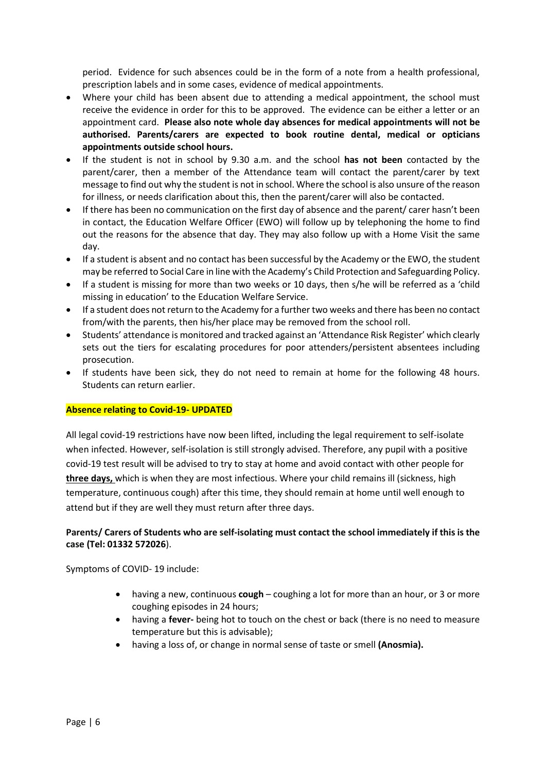period. Evidence for such absences could be in the form of a note from a health professional, prescription labels and in some cases, evidence of medical appointments.

- Where your child has been absent due to attending a medical appointment, the school must receive the evidence in order for this to be approved. The evidence can be either a letter or an appointment card. **Please also note whole day absences for medical appointments will not be authorised. Parents/carers are expected to book routine dental, medical or opticians appointments outside school hours.**
- If the student is not in school by 9.30 a.m. and the school **has not been** contacted by the parent/carer, then a member of the Attendance team will contact the parent/carer by text message to find out why the student is not in school. Where the school is also unsure of the reason for illness, or needs clarification about this, then the parent/carer will also be contacted.
- If there has been no communication on the first day of absence and the parent/ carer hasn't been in contact, the Education Welfare Officer (EWO) will follow up by telephoning the home to find out the reasons for the absence that day. They may also follow up with a Home Visit the same day.
- If a student is absent and no contact has been successful by the Academy or the EWO, the student may be referred to Social Care in line with the Academy's Child Protection and Safeguarding Policy.
- If a student is missing for more than two weeks or 10 days, then s/he will be referred as a 'child missing in education' to the Education Welfare Service.
- If a student does not return to the Academy for a further two weeks and there has been no contact from/with the parents, then his/her place may be removed from the school roll.
- Students' attendance is monitored and tracked against an 'Attendance Risk Register' which clearly sets out the tiers for escalating procedures for poor attenders/persistent absentees including prosecution.
- If students have been sick, they do not need to remain at home for the following 48 hours. Students can return earlier.

# **Absence relating to Covid-19- UPDATED**

All legal covid-19 restrictions have now been lifted, including the legal requirement to self-isolate when infected. However, self-isolation is still strongly advised. Therefore, any pupil with a positive covid-19 test result will be advised to try to stay at home and avoid contact with other people for **three days,** which is when they are most infectious. Where your child remains ill (sickness, high temperature, continuous cough) after this time, they should remain at home until well enough to attend but if they are well they must return after three days.

# **Parents/ Carers of Students who are self-isolating must contact the school immediately if this is the case (Tel: 01332 572026**).

Symptoms of COVID- 19 include:

- having a new, continuous **cough** coughing a lot for more than an hour, or 3 or more coughing episodes in 24 hours;
- having a **fever-** being hot to touch on the chest or back (there is no need to measure temperature but this is advisable);
- having a loss of, or change in normal sense of taste or smell **(Anosmia).**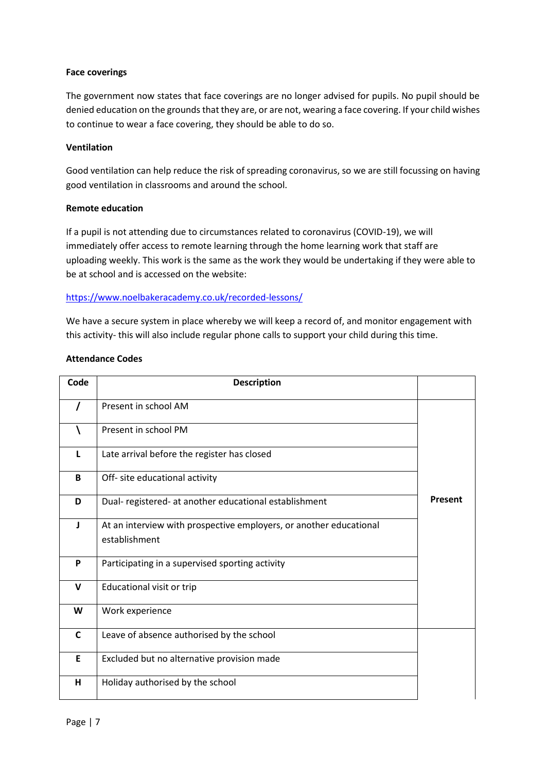# **Face coverings**

The government now states that face coverings are no longer advised for pupils. No pupil should be denied education on the grounds that they are, or are not, wearing a face covering. If your child wishes to continue to wear a face covering, they should be able to do so.

# **Ventilation**

Good ventilation can help reduce the risk of spreading coronavirus, so we are still focussing on having good ventilation in classrooms and around the school.

# **Remote education**

If a pupil is not attending due to circumstances related to coronavirus (COVID-19), we will immediately offer access to remote learning through the home learning work that staff are uploading weekly. This work is the same as the work they would be undertaking if they were able to be at school and is accessed on the website:

# <https://www.noelbakeracademy.co.uk/recorded-lessons/>

We have a secure system in place whereby we will keep a record of, and monitor engagement with this activity- this will also include regular phone calls to support your child during this time.

# **Attendance Codes**

| Code         | <b>Description</b>                                                                  |                |
|--------------|-------------------------------------------------------------------------------------|----------------|
| $\prime$     | Present in school AM                                                                |                |
|              | Present in school PM                                                                |                |
| L            | Late arrival before the register has closed                                         |                |
| B            | Off- site educational activity                                                      |                |
| D            | Dual- registered- at another educational establishment                              | <b>Present</b> |
| $\mathbf{I}$ | At an interview with prospective employers, or another educational<br>establishment |                |
| P            | Participating in a supervised sporting activity                                     |                |
| $\mathbf v$  | Educational visit or trip                                                           |                |
| W            | Work experience                                                                     |                |
| $\mathsf{C}$ | Leave of absence authorised by the school                                           |                |
| E            | Excluded but no alternative provision made                                          |                |
| H            | Holiday authorised by the school                                                    |                |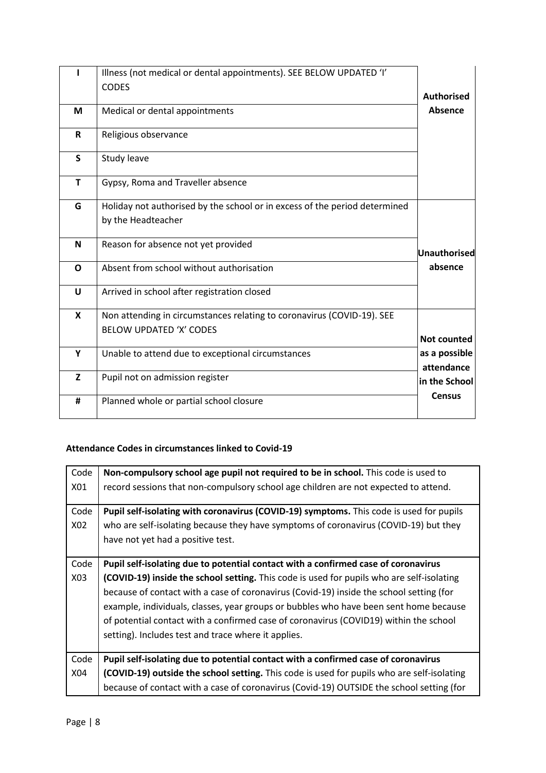|              | Illness (not medical or dental appointments). SEE BELOW UPDATED 'I'        |                             |
|--------------|----------------------------------------------------------------------------|-----------------------------|
|              | <b>CODES</b>                                                               | <b>Authorised</b>           |
|              |                                                                            |                             |
| M            | Medical or dental appointments                                             | Absence                     |
| $\mathsf{R}$ | Religious observance                                                       |                             |
| S            | Study leave                                                                |                             |
| T            | Gypsy, Roma and Traveller absence                                          |                             |
| G            | Holiday not authorised by the school or in excess of the period determined |                             |
|              | by the Headteacher                                                         |                             |
| N            | Reason for absence not yet provided                                        | <b>Unauthorised</b>         |
| $\mathbf{o}$ | Absent from school without authorisation                                   | absence                     |
| U            | Arrived in school after registration closed                                |                             |
| $\mathbf x$  | Non attending in circumstances relating to coronavirus (COVID-19). SEE     |                             |
|              | <b>BELOW UPDATED 'X' CODES</b>                                             | <b>Not counted</b>          |
| Y            | Unable to attend due to exceptional circumstances                          | as a possible<br>attendance |
| $\mathbf{Z}$ | Pupil not on admission register                                            | in the School               |
| #            | Planned whole or partial school closure                                    | <b>Census</b>               |

# **Attendance Codes in circumstances linked to Covid-19**

| Code | Non-compulsory school age pupil not required to be in school. This code is used to         |
|------|--------------------------------------------------------------------------------------------|
| X01  | record sessions that non-compulsory school age children are not expected to attend.        |
|      |                                                                                            |
| Code | Pupil self-isolating with coronavirus (COVID-19) symptoms. This code is used for pupils    |
| X02  | who are self-isolating because they have symptoms of coronavirus (COVID-19) but they       |
|      | have not yet had a positive test.                                                          |
|      |                                                                                            |
| Code | Pupil self-isolating due to potential contact with a confirmed case of coronavirus         |
| X03  | (COVID-19) inside the school setting. This code is used for pupils who are self-isolating  |
|      | because of contact with a case of coronavirus (Covid-19) inside the school setting (for    |
|      | example, individuals, classes, year groups or bubbles who have been sent home because      |
|      | of potential contact with a confirmed case of coronavirus (COVID19) within the school      |
|      | setting). Includes test and trace where it applies.                                        |
|      |                                                                                            |
| Code | Pupil self-isolating due to potential contact with a confirmed case of coronavirus         |
| X04  | (COVID-19) outside the school setting. This code is used for pupils who are self-isolating |
|      | because of contact with a case of coronavirus (Covid-19) OUTSIDE the school setting (for   |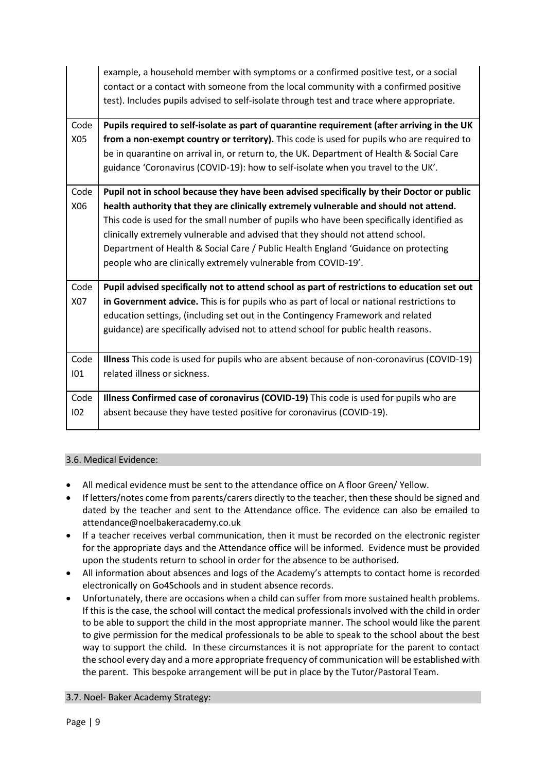|      | example, a household member with symptoms or a confirmed positive test, or a social<br>contact or a contact with someone from the local community with a confirmed positive<br>test). Includes pupils advised to self-isolate through test and trace where appropriate. |
|------|-------------------------------------------------------------------------------------------------------------------------------------------------------------------------------------------------------------------------------------------------------------------------|
| Code | Pupils required to self-isolate as part of quarantine requirement (after arriving in the UK                                                                                                                                                                             |
| X05  | from a non-exempt country or territory). This code is used for pupils who are required to                                                                                                                                                                               |
|      | be in quarantine on arrival in, or return to, the UK. Department of Health & Social Care                                                                                                                                                                                |
|      | guidance 'Coronavirus (COVID-19): how to self-isolate when you travel to the UK'.                                                                                                                                                                                       |
| Code | Pupil not in school because they have been advised specifically by their Doctor or public                                                                                                                                                                               |
| X06  | health authority that they are clinically extremely vulnerable and should not attend.                                                                                                                                                                                   |
|      | This code is used for the small number of pupils who have been specifically identified as                                                                                                                                                                               |
|      | clinically extremely vulnerable and advised that they should not attend school.                                                                                                                                                                                         |
|      | Department of Health & Social Care / Public Health England 'Guidance on protecting                                                                                                                                                                                      |
|      | people who are clinically extremely vulnerable from COVID-19'.                                                                                                                                                                                                          |
| Code | Pupil advised specifically not to attend school as part of restrictions to education set out                                                                                                                                                                            |
| X07  | in Government advice. This is for pupils who as part of local or national restrictions to                                                                                                                                                                               |
|      | education settings, (including set out in the Contingency Framework and related                                                                                                                                                                                         |
|      | guidance) are specifically advised not to attend school for public health reasons.                                                                                                                                                                                      |
|      |                                                                                                                                                                                                                                                                         |
| Code | Illness This code is used for pupils who are absent because of non-coronavirus (COVID-19)                                                                                                                                                                               |
| 101  | related illness or sickness.                                                                                                                                                                                                                                            |
| Code | Illness Confirmed case of coronavirus (COVID-19) This code is used for pupils who are                                                                                                                                                                                   |
| 102  | absent because they have tested positive for coronavirus (COVID-19).                                                                                                                                                                                                    |

# 3.6. Medical Evidence:

- All medical evidence must be sent to the attendance office on A floor Green/ Yellow.
- If letters/notes come from parents/carers directly to the teacher, then these should be signed and dated by the teacher and sent to the Attendance office. The evidence can also be emailed to attendance@noelbakeracademy.co.uk
- If a teacher receives verbal communication, then it must be recorded on the electronic register for the appropriate days and the Attendance office will be informed. Evidence must be provided upon the students return to school in order for the absence to be authorised.
- All information about absences and logs of the Academy's attempts to contact home is recorded electronically on Go4Schools and in student absence records.
- Unfortunately, there are occasions when a child can suffer from more sustained health problems. If this is the case, the school will contact the medical professionals involved with the child in order to be able to support the child in the most appropriate manner. The school would like the parent to give permission for the medical professionals to be able to speak to the school about the best way to support the child. In these circumstances it is not appropriate for the parent to contact the school every day and a more appropriate frequency of communication will be established with the parent. This bespoke arrangement will be put in place by the Tutor/Pastoral Team.

# 3.7. Noel- Baker Academy Strategy: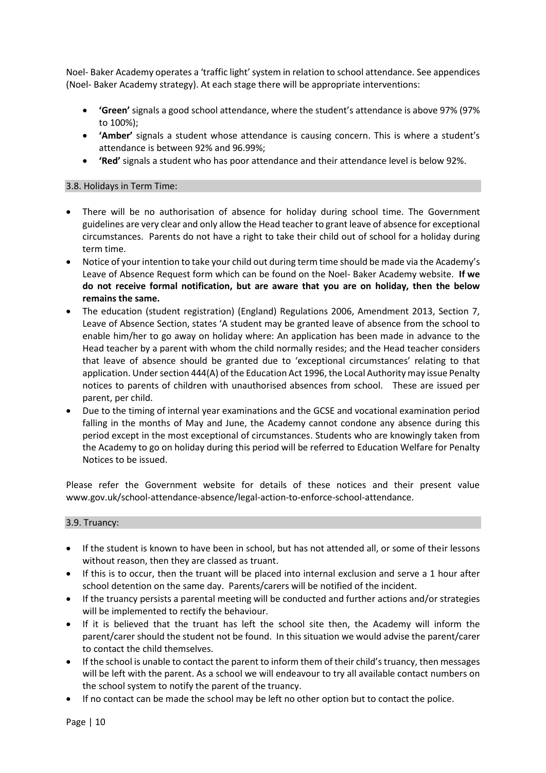Noel- Baker Academy operates a 'traffic light' system in relation to school attendance. See appendices (Noel- Baker Academy strategy). At each stage there will be appropriate interventions:

- **'Green'** signals a good school attendance, where the student's attendance is above 97% (97% to 100%);
- **'Amber'** signals a student whose attendance is causing concern. This is where a student's attendance is between 92% and 96.99%;
- **'Red'** signals a student who has poor attendance and their attendance level is below 92%.

# 3.8. Holidays in Term Time:

- There will be no authorisation of absence for holiday during school time. The Government guidelines are very clear and only allow the Head teacher to grant leave of absence for exceptional circumstances. Parents do not have a right to take their child out of school for a holiday during term time.
- Notice of your intention to take your child out during term time should be made via the Academy's Leave of Absence Request form which can be found on the Noel- Baker Academy website. **If we do not receive formal notification, but are aware that you are on holiday, then the below remains the same.**
- The education (student registration) (England) Regulations 2006, Amendment 2013, Section 7, Leave of Absence Section, states 'A student may be granted leave of absence from the school to enable him/her to go away on holiday where: An application has been made in advance to the Head teacher by a parent with whom the child normally resides; and the Head teacher considers that leave of absence should be granted due to 'exceptional circumstances' relating to that application. Under section 444(A) of the Education Act 1996, the Local Authority may issue Penalty notices to parents of children with unauthorised absences from school. These are issued per parent, per child.
- Due to the timing of internal year examinations and the GCSE and vocational examination period falling in the months of May and June, the Academy cannot condone any absence during this period except in the most exceptional of circumstances. Students who are knowingly taken from the Academy to go on holiday during this period will be referred to Education Welfare for Penalty Notices to be issued.

Please refer the Government website for details of these notices and their present value www.gov.uk/school-attendance-absence/legal-action-to-enforce-school-attendance.

# 3.9. Truancy:

- If the student is known to have been in school, but has not attended all, or some of their lessons without reason, then they are classed as truant.
- If this is to occur, then the truant will be placed into internal exclusion and serve a 1 hour after school detention on the same day. Parents/carers will be notified of the incident.
- If the truancy persists a parental meeting will be conducted and further actions and/or strategies will be implemented to rectify the behaviour.
- If it is believed that the truant has left the school site then, the Academy will inform the parent/carer should the student not be found. In this situation we would advise the parent/carer to contact the child themselves.
- If the school is unable to contact the parent to inform them of their child's truancy, then messages will be left with the parent. As a school we will endeavour to try all available contact numbers on the school system to notify the parent of the truancy.
- If no contact can be made the school may be left no other option but to contact the police.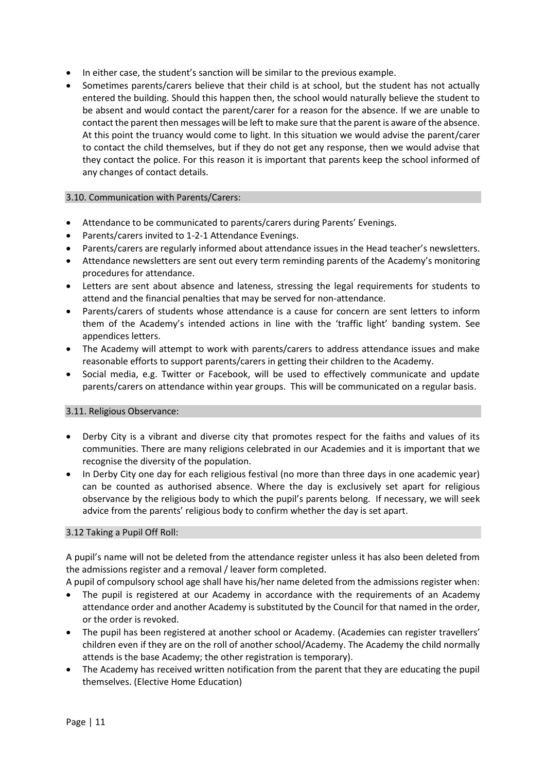- In either case, the student's sanction will be similar to the previous example.
- Sometimes parents/carers believe that their child is at school, but the student has not actually entered the building. Should this happen then, the school would naturally believe the student to be absent and would contact the parent/carer for a reason for the absence. If we are unable to contact the parent then messages will be left to make sure that the parent is aware of the absence. At this point the truancy would come to light. In this situation we would advise the parent/carer to contact the child themselves, but if they do not get any response, then we would advise that they contact the police. For this reason it is important that parents keep the school informed of any changes of contact details.

#### 3.10. Communication with Parents/Carers:

- Attendance to be communicated to parents/carers during Parents' Evenings.
- Parents/carers invited to 1-2-1 Attendance Evenings.
- Parents/carers are regularly informed about attendance issues in the Head teacher's newsletters.
- Attendance newsletters are sent out every term reminding parents of the Academy's monitoring procedures for attendance.
- Letters are sent about absence and lateness, stressing the legal requirements for students to attend and the financial penalties that may be served for non-attendance.
- Parents/carers of students whose attendance is a cause for concern are sent letters to inform them of the Academy's intended actions in line with the 'traffic light' banding system. See appendices letters.
- The Academy will attempt to work with parents/carers to address attendance issues and make reasonable efforts to support parents/carers in getting their children to the Academy.
- Social media, e.g. Twitter or Facebook, will be used to effectively communicate and update parents/carers on attendance within year groups. This will be communicated on a regular basis.

# 3.11. Religious Observance:

- Derby City is a vibrant and diverse city that promotes respect for the faiths and values of its communities. There are many religions celebrated in our Academies and it is important that we recognise the diversity of the population.
- In Derby City one day for each religious festival (no more than three days in one academic year) can be counted as authorised absence. Where the day is exclusively set apart for religious observance by the religious body to which the pupil's parents belong. If necessary, we will seek advice from the parents' religious body to confirm whether the day is set apart.

# 3.12 Taking a Pupil Off Roll:

A pupil's name will not be deleted from the attendance register unless it has also been deleted from the admissions register and a removal / leaver form completed.

A pupil of compulsory school age shall have his/her name deleted from the admissions register when:

- The pupil is registered at our Academy in accordance with the requirements of an Academy attendance order and another Academy is substituted by the Council for that named in the order, or the order is revoked.
- The pupil has been registered at another school or Academy. (Academies can register travellers' children even if they are on the roll of another school/Academy. The Academy the child normally attends is the base Academy; the other registration is temporary).
- The Academy has received written notification from the parent that they are educating the pupil themselves. (Elective Home Education)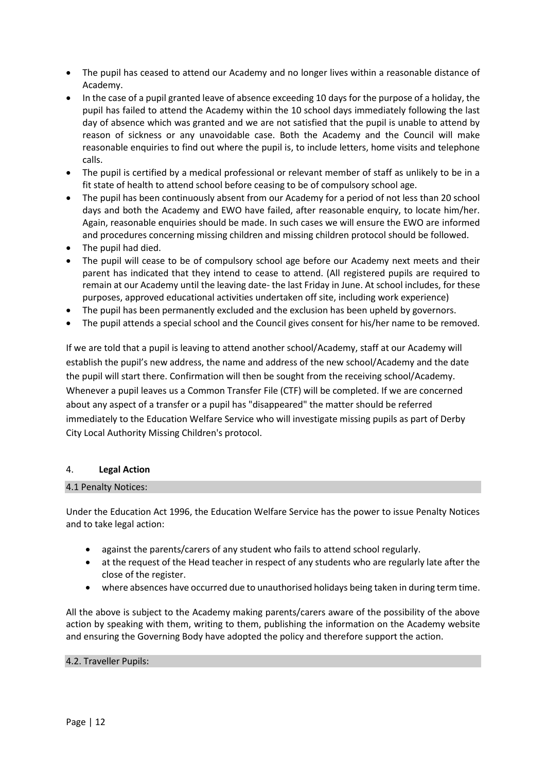- The pupil has ceased to attend our Academy and no longer lives within a reasonable distance of Academy.
- In the case of a pupil granted leave of absence exceeding 10 days for the purpose of a holiday, the pupil has failed to attend the Academy within the 10 school days immediately following the last day of absence which was granted and we are not satisfied that the pupil is unable to attend by reason of sickness or any unavoidable case. Both the Academy and the Council will make reasonable enquiries to find out where the pupil is, to include letters, home visits and telephone calls.
- The pupil is certified by a medical professional or relevant member of staff as unlikely to be in a fit state of health to attend school before ceasing to be of compulsory school age.
- The pupil has been continuously absent from our Academy for a period of not less than 20 school days and both the Academy and EWO have failed, after reasonable enquiry, to locate him/her. Again, reasonable enquiries should be made. In such cases we will ensure the EWO are informed and procedures concerning missing children and missing children protocol should be followed.
- The pupil had died.
- The pupil will cease to be of compulsory school age before our Academy next meets and their parent has indicated that they intend to cease to attend. (All registered pupils are required to remain at our Academy until the leaving date- the last Friday in June. At school includes, for these purposes, approved educational activities undertaken off site, including work experience)
- The pupil has been permanently excluded and the exclusion has been upheld by governors.
- The pupil attends a special school and the Council gives consent for his/her name to be removed.

If we are told that a pupil is leaving to attend another school/Academy, staff at our Academy will establish the pupil's new address, the name and address of the new school/Academy and the date the pupil will start there. Confirmation will then be sought from the receiving school/Academy. Whenever a pupil leaves us a Common Transfer File (CTF) will be completed. If we are concerned about any aspect of a transfer or a pupil has "disappeared" the matter should be referred immediately to the Education Welfare Service who will investigate missing pupils as part of Derby City Local Authority Missing Children's protocol.

# 4. **Legal Action**

# 4.1 Penalty Notices:

Under the Education Act 1996, the Education Welfare Service has the power to issue Penalty Notices and to take legal action:

- against the parents/carers of any student who fails to attend school regularly.
- at the request of the Head teacher in respect of any students who are regularly late after the close of the register.
- where absences have occurred due to unauthorised holidays being taken in during term time.

All the above is subject to the Academy making parents/carers aware of the possibility of the above action by speaking with them, writing to them, publishing the information on the Academy website and ensuring the Governing Body have adopted the policy and therefore support the action.

# 4.2. Traveller Pupils: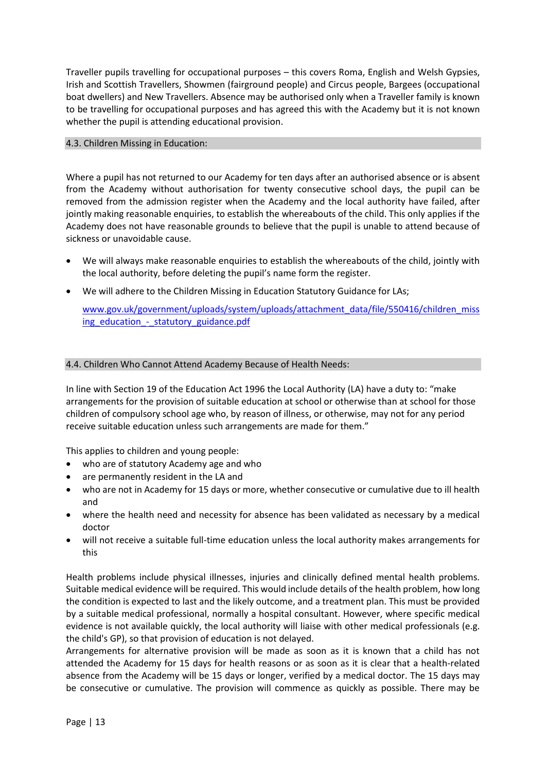Traveller pupils travelling for occupational purposes – this covers Roma, English and Welsh Gypsies, Irish and Scottish Travellers, Showmen (fairground people) and Circus people, Bargees (occupational boat dwellers) and New Travellers. Absence may be authorised only when a Traveller family is known to be travelling for occupational purposes and has agreed this with the Academy but it is not known whether the pupil is attending educational provision.

# 4.3. Children Missing in Education:

Where a pupil has not returned to our Academy for ten days after an authorised absence or is absent from the Academy without authorisation for twenty consecutive school days, the pupil can be removed from the admission register when the Academy and the local authority have failed, after jointly making reasonable enquiries, to establish the whereabouts of the child. This only applies if the Academy does not have reasonable grounds to believe that the pupil is unable to attend because of sickness or unavoidable cause.

- We will always make reasonable enquiries to establish the whereabouts of the child, jointly with the local authority, before deleting the pupil's name form the register.
- We will adhere to the Children Missing in Education Statutory Guidance for LAs;

[www.gov.uk/government/uploads/system/uploads/attachment\\_data/file/550416/children\\_miss](http://www.gov.uk/government/uploads/system/uploads/attachment_data/file/550416/children_missing_education_-_statutory_guidance.pdf) ing\_education - statutory\_guidance.pdf

# 4.4. Children Who Cannot Attend Academy Because of Health Needs:

In line with Section 19 of the Education Act 1996 the Local Authority (LA) have a duty to: "make arrangements for the provision of suitable education at school or otherwise than at school for those children of compulsory school age who, by reason of illness, or otherwise, may not for any period receive suitable education unless such arrangements are made for them."

This applies to children and young people:

- who are of statutory Academy age and who
- are permanently resident in the LA and
- who are not in Academy for 15 days or more, whether consecutive or cumulative due to ill health and
- where the health need and necessity for absence has been validated as necessary by a medical doctor
- will not receive a suitable full-time education unless the local authority makes arrangements for this

Health problems include physical illnesses, injuries and clinically defined mental health problems. Suitable medical evidence will be required. This would include details of the health problem, how long the condition is expected to last and the likely outcome, and a treatment plan. This must be provided by a suitable medical professional, normally a hospital consultant. However, where specific medical evidence is not available quickly, the local authority will liaise with other medical professionals (e.g. the child's GP), so that provision of education is not delayed.

Arrangements for alternative provision will be made as soon as it is known that a child has not attended the Academy for 15 days for health reasons or as soon as it is clear that a health-related absence from the Academy will be 15 days or longer, verified by a medical doctor. The 15 days may be consecutive or cumulative. The provision will commence as quickly as possible. There may be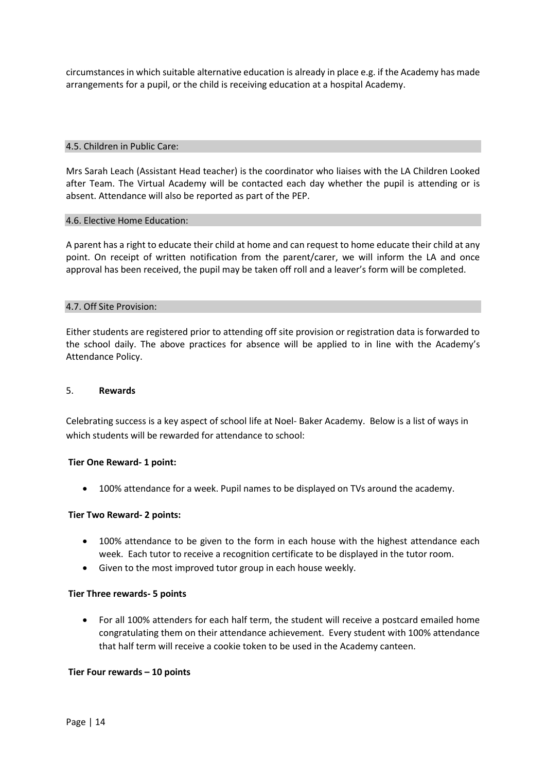circumstances in which suitable alternative education is already in place e.g. if the Academy has made arrangements for a pupil, or the child is receiving education at a hospital Academy.

#### 4.5. Children in Public Care:

Mrs Sarah Leach (Assistant Head teacher) is the coordinator who liaises with the LA Children Looked after Team. The Virtual Academy will be contacted each day whether the pupil is attending or is absent. Attendance will also be reported as part of the PEP.

#### 4.6. Elective Home Education:

A parent has a right to educate their child at home and can request to home educate their child at any point. On receipt of written notification from the parent/carer, we will inform the LA and once approval has been received, the pupil may be taken off roll and a leaver's form will be completed.

#### 4.7. Off Site Provision:

Either students are registered prior to attending off site provision or registration data is forwarded to the school daily. The above practices for absence will be applied to in line with the Academy's Attendance Policy.

#### 5. **Rewards**

Celebrating success is a key aspect of school life at Noel- Baker Academy. Below is a list of ways in which students will be rewarded for attendance to school:

# **Tier One Reward- 1 point:**

• 100% attendance for a week. Pupil names to be displayed on TVs around the academy.

# **Tier Two Reward- 2 points:**

- 100% attendance to be given to the form in each house with the highest attendance each week. Each tutor to receive a recognition certificate to be displayed in the tutor room.
- Given to the most improved tutor group in each house weekly.

#### **Tier Three rewards- 5 points**

• For all 100% attenders for each half term, the student will receive a postcard emailed home congratulating them on their attendance achievement. Every student with 100% attendance that half term will receive a cookie token to be used in the Academy canteen.

# **Tier Four rewards – 10 points**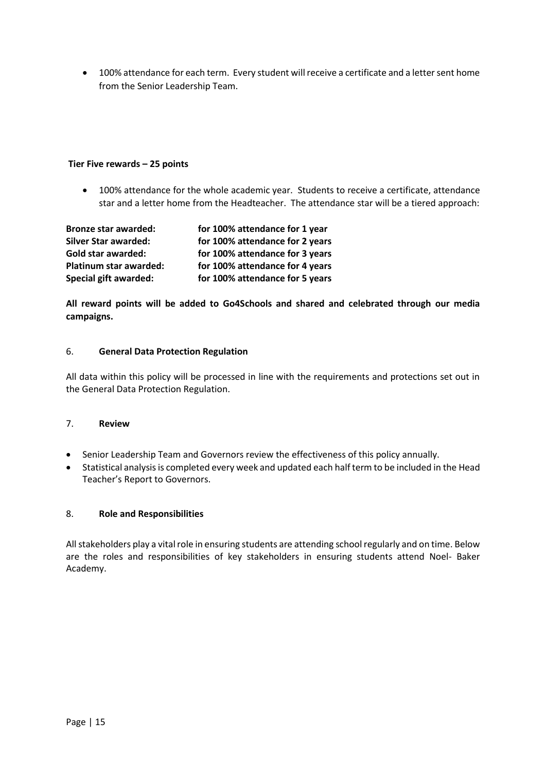• 100% attendance for each term. Every student will receive a certificate and a letter sent home from the Senior Leadership Team.

# **Tier Five rewards – 25 points**

• 100% attendance for the whole academic year. Students to receive a certificate, attendance star and a letter home from the Headteacher. The attendance star will be a tiered approach:

| <b>Bronze star awarded:</b>  | for 100% attendance for 1 year  |
|------------------------------|---------------------------------|
| <b>Silver Star awarded:</b>  | for 100% attendance for 2 years |
| Gold star awarded:           | for 100% attendance for 3 years |
| Platinum star awarded:       | for 100% attendance for 4 years |
| <b>Special gift awarded:</b> | for 100% attendance for 5 years |

**All reward points will be added to Go4Schools and shared and celebrated through our media campaigns.**

# 6. **General Data Protection Regulation**

All data within this policy will be processed in line with the requirements and protections set out in the General Data Protection Regulation.

# 7. **Review**

- Senior Leadership Team and Governors review the effectiveness of this policy annually.
- Statistical analysis is completed every week and updated each half term to be included in the Head Teacher's Report to Governors.

# 8. **Role and Responsibilities**

All stakeholders play a vital role in ensuring students are attending school regularly and on time. Below are the roles and responsibilities of key stakeholders in ensuring students attend Noel- Baker Academy.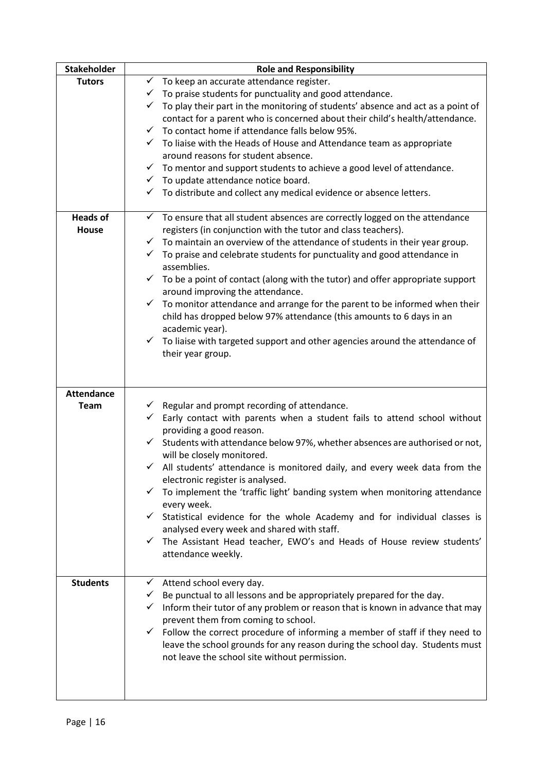| <b>Stakeholder</b> | <b>Role and Responsibility</b>                                                                  |
|--------------------|-------------------------------------------------------------------------------------------------|
| <b>Tutors</b>      | $\checkmark$ To keep an accurate attendance register.                                           |
|                    | $\checkmark$ To praise students for punctuality and good attendance.                            |
|                    | To play their part in the monitoring of students' absence and act as a point of<br>$\checkmark$ |
|                    | contact for a parent who is concerned about their child's health/attendance.                    |
|                    | $\checkmark$ To contact home if attendance falls below 95%.                                     |
|                    | $\checkmark$ To liaise with the Heads of House and Attendance team as appropriate               |
|                    | around reasons for student absence.                                                             |
|                    | $\checkmark$ To mentor and support students to achieve a good level of attendance.              |
|                    | $\checkmark$ To update attendance notice board.                                                 |
|                    | $\checkmark$<br>To distribute and collect any medical evidence or absence letters.              |
|                    |                                                                                                 |
| <b>Heads of</b>    | $\checkmark$ To ensure that all student absences are correctly logged on the attendance         |
| <b>House</b>       | registers (in conjunction with the tutor and class teachers).                                   |
|                    | $\checkmark$ To maintain an overview of the attendance of students in their year group.         |
|                    | To praise and celebrate students for punctuality and good attendance in<br>$\checkmark$         |
|                    | assemblies.                                                                                     |
|                    | $\checkmark$ To be a point of contact (along with the tutor) and offer appropriate support      |
|                    | around improving the attendance.                                                                |
|                    | $\checkmark$ To monitor attendance and arrange for the parent to be informed when their         |
|                    | child has dropped below 97% attendance (this amounts to 6 days in an                            |
|                    | academic year).                                                                                 |
|                    | $\checkmark$ To liaise with targeted support and other agencies around the attendance of        |
|                    | their year group.                                                                               |
|                    |                                                                                                 |
|                    |                                                                                                 |
| <b>Attendance</b>  |                                                                                                 |
| <b>Team</b>        | $\checkmark$ Regular and prompt recording of attendance.                                        |
|                    | $\checkmark$<br>Early contact with parents when a student fails to attend school without        |
|                    | providing a good reason.                                                                        |
|                    | Students with attendance below 97%, whether absences are authorised or not,<br>$\checkmark$     |
|                    | will be closely monitored.                                                                      |
|                    | $\checkmark$<br>All students' attendance is monitored daily, and every week data from the       |
|                    | electronic register is analysed.                                                                |
|                    | To implement the 'traffic light' banding system when monitoring attendance                      |
|                    | every week.                                                                                     |
|                    | $\checkmark$ Statistical evidence for the whole Academy and for individual classes is           |
|                    | analysed every week and shared with staff.                                                      |
|                    | The Assistant Head teacher, EWO's and Heads of House review students'<br>✓                      |
|                    | attendance weekly.                                                                              |
|                    |                                                                                                 |
| <b>Students</b>    | Attend school every day.<br>$\checkmark$                                                        |
|                    | Be punctual to all lessons and be appropriately prepared for the day.<br>$\checkmark$           |
|                    | Inform their tutor of any problem or reason that is known in advance that may<br>✓              |
|                    | prevent them from coming to school.                                                             |
|                    | Follow the correct procedure of informing a member of staff if they need to<br>$\checkmark$     |
|                    | leave the school grounds for any reason during the school day. Students must                    |
|                    | not leave the school site without permission.                                                   |
|                    |                                                                                                 |
|                    |                                                                                                 |
|                    |                                                                                                 |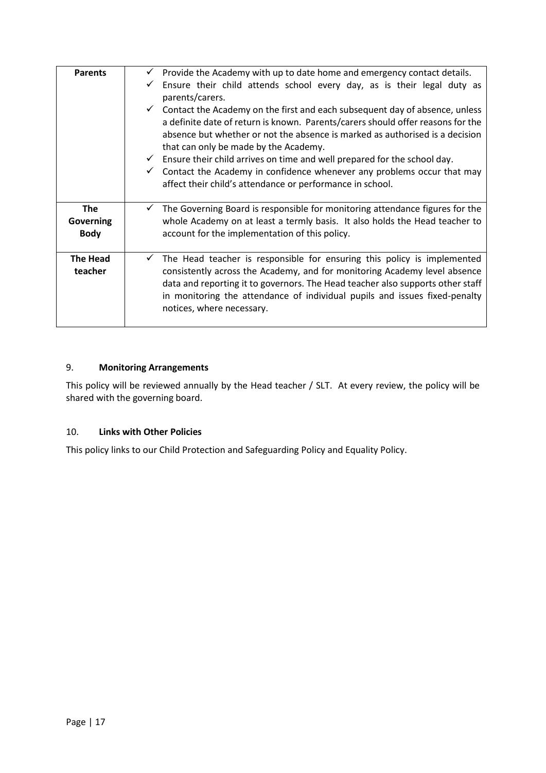| <b>Parents</b>                                | Provide the Academy with up to date home and emergency contact details.<br>Ensure their child attends school every day, as is their legal duty as<br>parents/carers.<br>$\checkmark$ Contact the Academy on the first and each subsequent day of absence, unless<br>a definite date of return is known. Parents/carers should offer reasons for the<br>absence but whether or not the absence is marked as authorised is a decision<br>that can only be made by the Academy.<br>$\checkmark$ Ensure their child arrives on time and well prepared for the school day.<br>Contact the Academy in confidence whenever any problems occur that may<br>affect their child's attendance or performance in school. |
|-----------------------------------------------|--------------------------------------------------------------------------------------------------------------------------------------------------------------------------------------------------------------------------------------------------------------------------------------------------------------------------------------------------------------------------------------------------------------------------------------------------------------------------------------------------------------------------------------------------------------------------------------------------------------------------------------------------------------------------------------------------------------|
| <b>The</b><br><b>Governing</b><br><b>Body</b> | The Governing Board is responsible for monitoring attendance figures for the<br>whole Academy on at least a termly basis. It also holds the Head teacher to<br>account for the implementation of this policy.                                                                                                                                                                                                                                                                                                                                                                                                                                                                                                |
| <b>The Head</b><br>teacher                    | The Head teacher is responsible for ensuring this policy is implemented<br>$\checkmark$<br>consistently across the Academy, and for monitoring Academy level absence<br>data and reporting it to governors. The Head teacher also supports other staff<br>in monitoring the attendance of individual pupils and issues fixed-penalty<br>notices, where necessary.                                                                                                                                                                                                                                                                                                                                            |

# 9. **Monitoring Arrangements**

This policy will be reviewed annually by the Head teacher / SLT. At every review, the policy will be shared with the governing board.

# 10. **Links with Other Policies**

This policy links to our Child Protection and Safeguarding Policy and Equality Policy.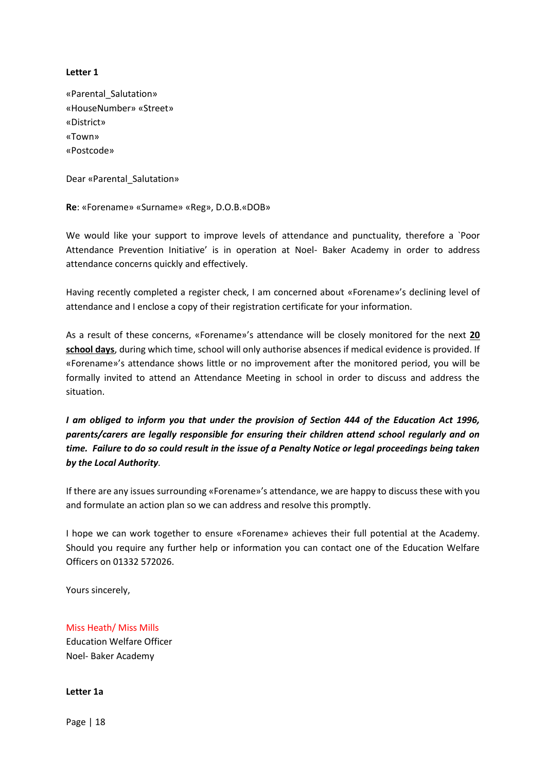# **Letter 1**

«Parental\_Salutation» «HouseNumber» «Street» «District» «Town» «Postcode»

Dear «Parental\_Salutation»

**Re**: «Forename» «Surname» «Reg», D.O.B.«DOB»

We would like your support to improve levels of attendance and punctuality, therefore a `Poor Attendance Prevention Initiative' is in operation at Noel- Baker Academy in order to address attendance concerns quickly and effectively.

Having recently completed a register check, I am concerned about «Forename»'s declining level of attendance and I enclose a copy of their registration certificate for your information.

As a result of these concerns, «Forename»'s attendance will be closely monitored for the next **20 school days**, during which time, school will only authorise absences if medical evidence is provided. If «Forename»'s attendance shows little or no improvement after the monitored period, you will be formally invited to attend an Attendance Meeting in school in order to discuss and address the situation.

*I am obliged to inform you that under the provision of Section 444 of the Education Act 1996, parents/carers are legally responsible for ensuring their children attend school regularly and on time. Failure to do so could result in the issue of a Penalty Notice or legal proceedings being taken by the Local Authority.*

If there are any issues surrounding «Forename»'s attendance, we are happy to discuss these with you and formulate an action plan so we can address and resolve this promptly.

I hope we can work together to ensure «Forename» achieves their full potential at the Academy. Should you require any further help or information you can contact one of the Education Welfare Officers on 01332 572026.

Yours sincerely,

Miss Heath/ Miss Mills Education Welfare Officer Noel- Baker Academy

**Letter 1a**

Page | 18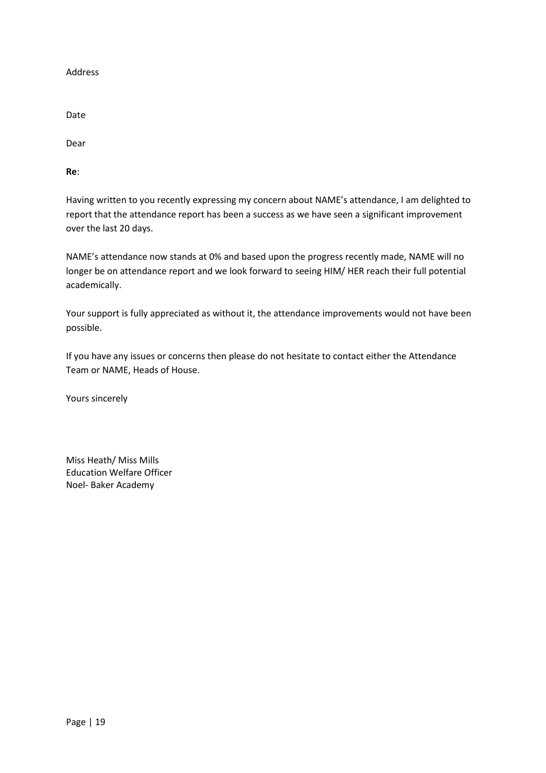Address

Date

Dear

**Re**:

Having written to you recently expressing my concern about NAME's attendance, I am delighted to report that the attendance report has been a success as we have seen a significant improvement over the last 20 days.

NAME's attendance now stands at 0% and based upon the progress recently made, NAME will no longer be on attendance report and we look forward to seeing HIM/ HER reach their full potential academically.

Your support is fully appreciated as without it, the attendance improvements would not have been possible.

If you have any issues or concerns then please do not hesitate to contact either the Attendance Team or NAME, Heads of House.

Yours sincerely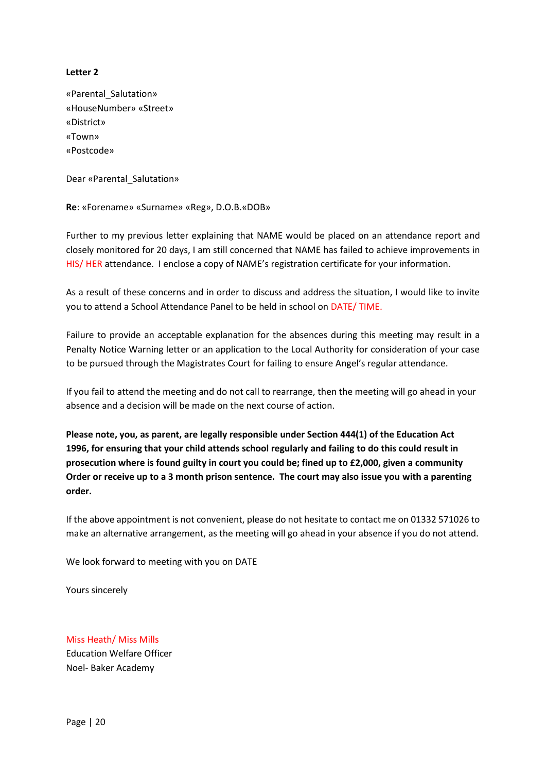# **Letter 2**

«Parental\_Salutation» «HouseNumber» «Street» «District» «Town» «Postcode»

Dear «Parental\_Salutation»

**Re**: «Forename» «Surname» «Reg», D.O.B.«DOB»

Further to my previous letter explaining that NAME would be placed on an attendance report and closely monitored for 20 days, I am still concerned that NAME has failed to achieve improvements in HIS/ HER attendance. I enclose a copy of NAME's registration certificate for your information.

As a result of these concerns and in order to discuss and address the situation, I would like to invite you to attend a School Attendance Panel to be held in school on DATE/ TIME.

Failure to provide an acceptable explanation for the absences during this meeting may result in a Penalty Notice Warning letter or an application to the Local Authority for consideration of your case to be pursued through the Magistrates Court for failing to ensure Angel's regular attendance.

If you fail to attend the meeting and do not call to rearrange, then the meeting will go ahead in your absence and a decision will be made on the next course of action.

**Please note, you, as parent, are legally responsible under Section 444(1) of the Education Act 1996, for ensuring that your child attends school regularly and failing to do this could result in prosecution where is found guilty in court you could be; fined up to £2,000, given a community Order or receive up to a 3 month prison sentence. The court may also issue you with a parenting order.**

If the above appointment is not convenient, please do not hesitate to contact me on 01332 571026 to make an alternative arrangement, as the meeting will go ahead in your absence if you do not attend.

We look forward to meeting with you on DATE

Yours sincerely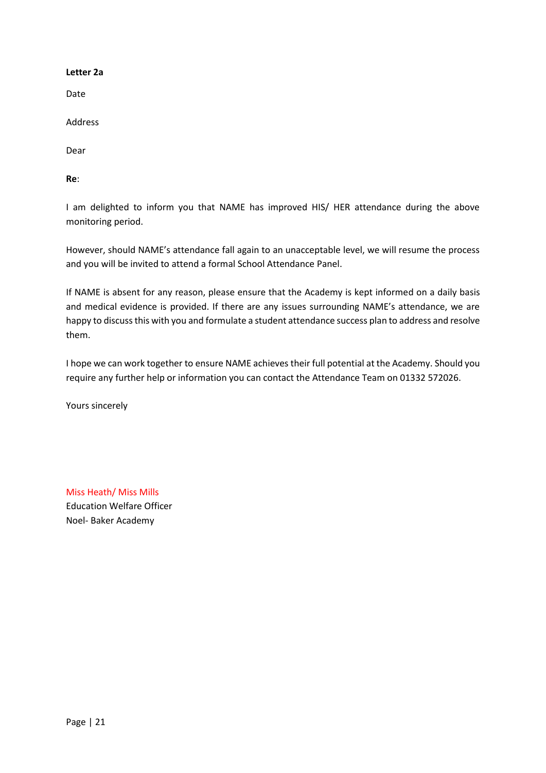# **Letter 2a**

Date

Address

Dear

**Re**:

I am delighted to inform you that NAME has improved HIS/ HER attendance during the above monitoring period.

However, should NAME's attendance fall again to an unacceptable level, we will resume the process and you will be invited to attend a formal School Attendance Panel.

If NAME is absent for any reason, please ensure that the Academy is kept informed on a daily basis and medical evidence is provided. If there are any issues surrounding NAME's attendance, we are happy to discuss this with you and formulate a student attendance success plan to address and resolve them.

I hope we can work together to ensure NAME achieves their full potential at the Academy. Should you require any further help or information you can contact the Attendance Team on 01332 572026.

Yours sincerely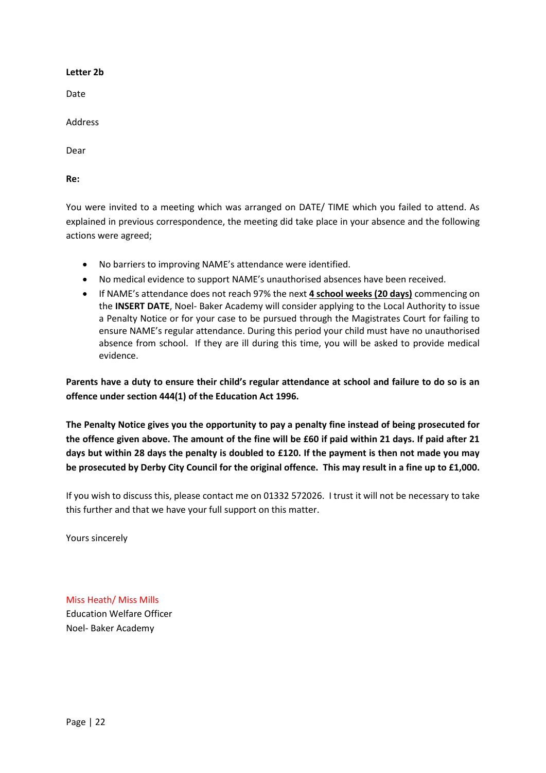#### **Letter 2b**

Date

Address

Dear

**Re:** 

You were invited to a meeting which was arranged on DATE/ TIME which you failed to attend. As explained in previous correspondence, the meeting did take place in your absence and the following actions were agreed;

- No barriers to improving NAME's attendance were identified.
- No medical evidence to support NAME's unauthorised absences have been received.
- If NAME's attendance does not reach 97% the next **4 school weeks (20 days)** commencing on the **INSERT DATE**, Noel- Baker Academy will consider applying to the Local Authority to issue a Penalty Notice or for your case to be pursued through the Magistrates Court for failing to ensure NAME's regular attendance. During this period your child must have no unauthorised absence from school. If they are ill during this time, you will be asked to provide medical evidence.

**Parents have a duty to ensure their child's regular attendance at school and failure to do so is an offence under section 444(1) of the Education Act 1996.**

**The Penalty Notice gives you the opportunity to pay a penalty fine instead of being prosecuted for the offence given above. The amount of the fine will be £60 if paid within 21 days. If paid after 21 days but within 28 days the penalty is doubled to £120. If the payment is then not made you may be prosecuted by Derby City Council for the original offence. This may result in a fine up to £1,000.**

If you wish to discuss this, please contact me on 01332 572026. I trust it will not be necessary to take this further and that we have your full support on this matter.

Yours sincerely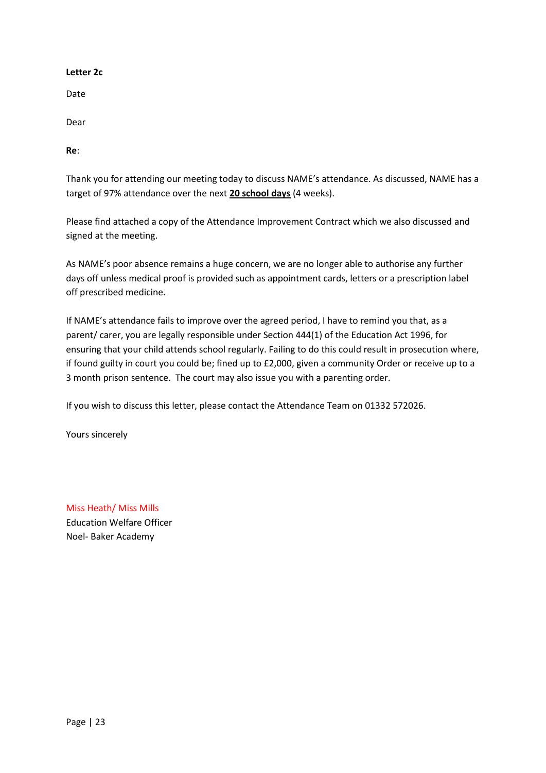# **Letter 2c**

Date

Dear

**Re**:

Thank you for attending our meeting today to discuss NAME's attendance. As discussed, NAME has a target of 97% attendance over the next **20 school days** (4 weeks).

Please find attached a copy of the Attendance Improvement Contract which we also discussed and signed at the meeting.

As NAME's poor absence remains a huge concern, we are no longer able to authorise any further days off unless medical proof is provided such as appointment cards, letters or a prescription label off prescribed medicine.

If NAME's attendance fails to improve over the agreed period, I have to remind you that, as a parent/ carer, you are legally responsible under Section 444(1) of the Education Act 1996, for ensuring that your child attends school regularly. Failing to do this could result in prosecution where, if found guilty in court you could be; fined up to £2,000, given a community Order or receive up to a 3 month prison sentence. The court may also issue you with a parenting order.

If you wish to discuss this letter, please contact the Attendance Team on 01332 572026.

Yours sincerely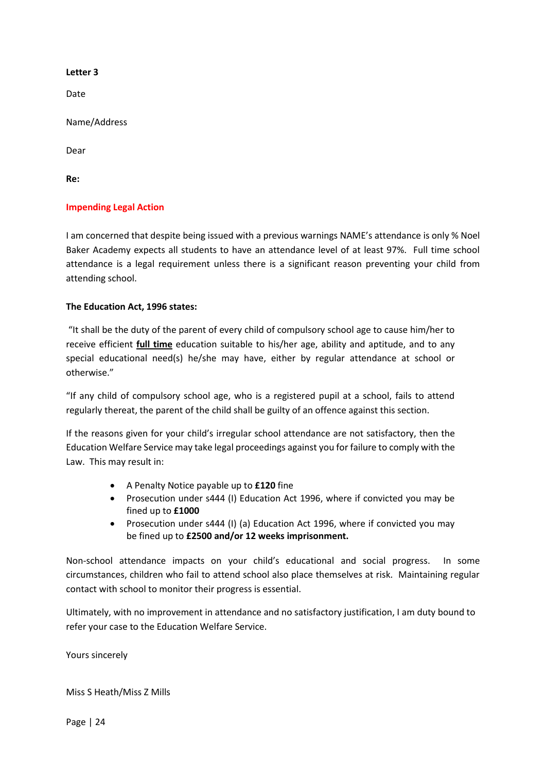# **Letter 3**

Date

Name/Address

Dear

**Re:** 

# **Impending Legal Action**

I am concerned that despite being issued with a previous warnings NAME's attendance is only % Noel Baker Academy expects all students to have an attendance level of at least 97%. Full time school attendance is a legal requirement unless there is a significant reason preventing your child from attending school.

# **The Education Act, 1996 states:**

"It shall be the duty of the parent of every child of compulsory school age to cause him/her to receive efficient **full time** education suitable to his/her age, ability and aptitude, and to any special educational need(s) he/she may have, either by regular attendance at school or otherwise."

"If any child of compulsory school age, who is a registered pupil at a school, fails to attend regularly thereat, the parent of the child shall be guilty of an offence against this section.

If the reasons given for your child's irregular school attendance are not satisfactory, then the Education Welfare Service may take legal proceedings against you for failure to comply with the Law. This may result in:

- A Penalty Notice payable up to **£120** fine
- Prosecution under s444 (I) Education Act 1996, where if convicted you may be fined up to **£1000**
- Prosecution under s444 (I) (a) Education Act 1996, where if convicted you may be fined up to **£2500 and/or 12 weeks imprisonment.**

Non-school attendance impacts on your child's educational and social progress. In some circumstances, children who fail to attend school also place themselves at risk. Maintaining regular contact with school to monitor their progress is essential.

Ultimately, with no improvement in attendance and no satisfactory justification, I am duty bound to refer your case to the Education Welfare Service.

Yours sincerely

Miss S Heath/Miss Z Mills